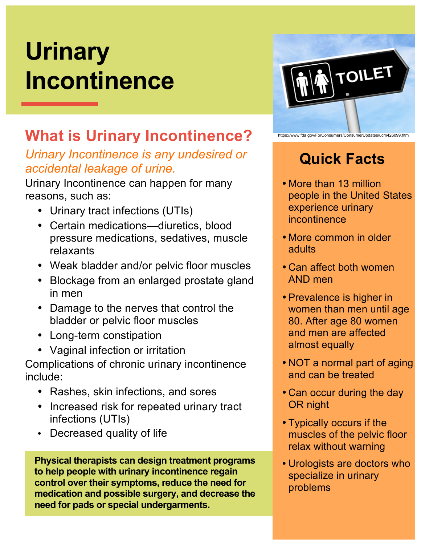# **Urinary Incontinence**

**[DATE]**

#### **What is Urinary Incontinence?**

#### *Urinary Incontinence is any undesired or accidental leakage of urine.*

Urinary Incontinence can happen for many reasons, such as:

- Urinary tract infections (UTIs)
- Certain medications—diuretics, blood pressure medications, sedatives, muscle relaxants
- Weak bladder and/or pelvic floor muscles
- Blockage from an enlarged prostate gland in men
- Damage to the nerves that control the bladder or pelvic floor muscles
- Long-term constipation
- Vaginal infection or irritation

Complications of chronic urinary incontinence include:

- Rashes, skin infections, and sores
- Increased risk for repeated urinary tract infections (UTIs)
- Decreased quality of life

**Physical therapists can design treatment programs to help people with urinary incontinence regain control over their symptoms, reduce the need for medication and possible surgery, and decrease the need for pads or special undergarments.**



## **Quick Facts**

- More than 13 million people in the United States experience urinary incontinence
- More common in older adults
- Can affect both women AND men
- Prevalence is higher in women than men until age 80. After age 80 women and men are affected almost equally
- NOT a normal part of aging and can be treated
- Can occur during the day OR night
- Typically occurs if the muscles of the pelvic floor relax without warning
- Urologists are doctors who specialize in urinary problems